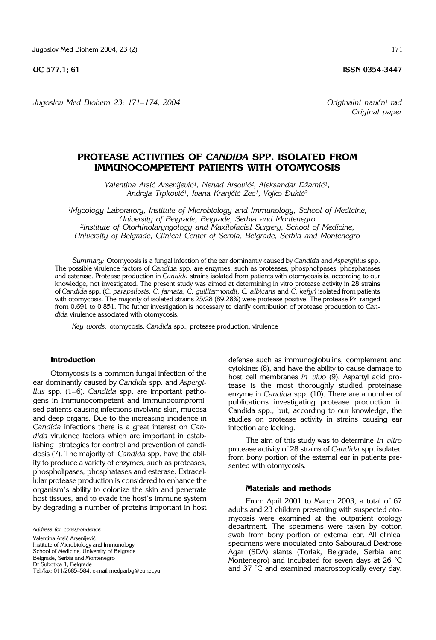*Jugoslov Med Biohem 23: 171– 174, 2004 Originalni nau~ni rad*

*Original paper*

# **PROTEASE ACTIVITIES OF** *CANDIDA* **SPP. ISOLATED FROM IMMUNOCOMPETENT PATIENTS WITH OTOMYCOSIS**

Valentina Arsić Arsenijević<sup>1</sup>, Nenad Arsović<sup>2</sup>, Aleksandar Džamić<sup>1</sup>, Andreja Trpković<sup>1</sup>, Ivana Kranjčić Zec<sup>1</sup>, Vojko Đukić<sup>2</sup>

*1Mycology Laboratory, Institute of Microbiology and Immunology, School of Medicine, University of Belgrade, Belgrade, Serbia and Montenegro 2Institute of Otorhinolaryngology and Maxilofacial Surgery, School of Medicine, University of Belgrade, Clinical Center of Serbia, Belgrade, Serbia and Montenegro*

*Summary:* Otomycosis is a fungal infection of the ear dominantly caused by *Candida* and *Aspergillus* spp. The possible virulence factors of *Candida* spp. are enzymes, such as proteases, phospholipases, phosphatases and esterase. Protease production in *Candida* strains isolated from patients with otomycosis is, according to our knowledge, not investigated. The present study was aimed at determining in vitro protease activity in 28 strains of *Candida* spp. (*C. parapsilosis, C. famata, C. guilliermondii, C. albicans* and *C. kefyr)* isolated from patients with otomycosis. The majority of isolated strains 25/28 (89.28%) were protease positive. The protease Pz ranged from 0.691 to 0.851. The futher investigation is necessary to clarify contribution of protease production to *Candida* virulence associated with otomycosis.

*Key words:* otomycosis, *Candida* spp., protease production, virulence

### **Introduction**

Otomycosis is a common fungal infection of the ear dominantly caused by *Candida* spp. and *Aspergillus* spp. (1–6). *Candida* spp. are important pathogens in immunocompetent and immunocompromised patients causing infections involving skin, mucosa and deep organs. Due to the increasing incidence in *Candida* infections there is a great interest on *Candida* virulence factors which are important in establishing strategies for control and prevention of candidosis (7). The majority of *Candida* spp. have the ability to produce a variety of enzymes, such as proteases, phospholipases, phosphatases and esterase. Extracellular protease production is considered to enhance the organism's ability to colonize the skin and penetrate host tissues, and to evade the host's immune system by degrading a number of proteins important in host

defense such as immunoglobulins, complement and cytokines (8), and have the ability to cause damage to host cell membranes *in vivo* (9). Aspartyl acid protease is the most thoroughly studied proteinase enzyme in *Candida* spp. (10). There are a number of publications investigating protease production in Candida spp., but, according to our knowledge, the studies on protease activity in strains causing ear infection are lacking.

The aim of this study was to determine *in vitro* protease activity of 28 strains of *Candida* spp. isolated from bony portion of the external ear in patients presented with otomycosis.

#### **Materials and methods**

From April 2001 to March 2003, a total of 67 adults and 23 children presenting with suspected otomycosis were examined at the outpatient otology department. The specimens were taken by cotton swab from bony portion of external ear. All clinical specimens were inoculated onto Sabouraud Dextrose Agar (SDA) slants (Torlak, Belgrade, Serbia and Montenegro) and incubated for seven days at 26  $^{\circ}$ C and 37 °C and examined macroscopically every day.

*Address for corespondence*

Valentina Arsić Arsenijević

Institute of Microbiology and Immunology

School of Medicine, University of Belgrade

Belgrade, Serbia and Montenegro

Dr Subotica 1, Belgrade

Tel./fax: 011/2685-584, e-mail medparbg@eunet.yu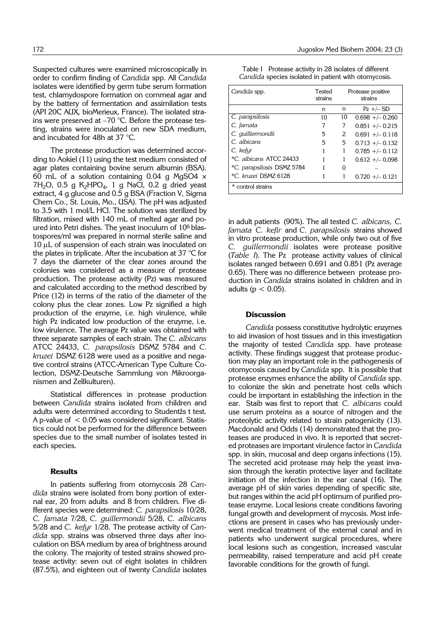Suspected cultures were examined microscopically in order to confirm finding of *Candida* spp. All *Candida* isolates were identified by germ tube serum formation test, chlamydospore formation on cornmeal agar and by the battery of fermentation and assimilation tests (API 20C AUX, bioMerieux, France). The isolated strains were preserved at –70 °C. Before the protease testing, strains were inoculated on new SDA medium, and incubated for 48h at 37 °C.

The protease production was determined according to Aokiel (11) using the test medium consisted of agar plates containing bovine serum albumin (BSA). 60 mL of a solution containing 0.04 g MgSO4  $\times$  $7H<sub>2</sub>O$ , 0.5 g  $K<sub>2</sub>HPO<sub>4</sub>$ , 1 g NaCl, 0.2 g dried yeast extract, 4 g glucose and 0.5 g BSA (Fraction V, Sigma Chem Co., St. Louis, Mo., USA). The pH was adjusted to 3.5 with 1 mol/L HCl. The solution was sterilized by filtration, mixed with 140 mL of melted agar and poured into Petri dishes. The yeast inoculum of 106 blastospores/ml was prepared in normal sterile saline and  $10 \mu$ L of suspension of each strain was inoculated on the plates in triplicate. After the incubation at 37  $\degree$ C for 7 days the diameter of the clear zones around the colonies was considered as a measure of protease production. The protease activity (Pz) was measured and calculated according to the method described by Price (12) in terms of the ratio of the diameter of the colony plus the clear zones. Low Pz signified a high production of the enzyme, i.e. high virulence, while high Pz indicated low production of the enzyme, i.e. low virulence. The average Pz value was obtained with three separate samples of each strain. The *C. albicans* ATCC 24433, *C. parapsilosis* DSMZ 5784 and *C. kruzei* DSMZ 6128 were used as a positive and negative control strains (ATCC-American Type Culture Colection, DSMZ-Deutsche Sammlung von Mikroorganismen and Zellkulturen).

Statistical differences in protease production between *Candida* strains isolated from children and adults were determined according to Studentžs t test. A p-value of < 0.05 was considered significant. Statistics could not be performed for the difference between species due to the small number of isolates tested in each species.

#### **Results**

In patients suffering from otomycosis 28 *Candida* strains were isolated from bony portion of external ear, 20 from adults and 8 from children. Five different species were determined: *C. parapsilosis* 10/28, *C. famata* 7/28, *C. guillermondii* 5/28, *C. albicans* 5/28 and *C. kefyr* 1/28. The protease activity of *Candida* spp. strains was observed three days after inoculation on BSA medium by area of brightness around the colony. The majority of tested strains showed protease activity: seven out of eight isolates in children (87.5%), and eighteen out of twenty *Candida* isolates

|  |  | Table I Protease activity in 28 isolates of different |  |
|--|--|-------------------------------------------------------|--|
|  |  | Candida species isolated in patient with otomycosis.  |  |

| Candida spp.               | Tested<br>strains | Protease positive<br>strains |                    |  |  |
|----------------------------|-------------------|------------------------------|--------------------|--|--|
|                            | n                 | n                            | $Pz + \sim SD$     |  |  |
| C. parapsilosis            | 10                | 10                           | $0.698 + -0.260$   |  |  |
| C. famata                  |                   | 7                            | $0.851 + - 0.215$  |  |  |
| C. guilliermondii          | 5                 | 2                            | $0.691 + - 0.118$  |  |  |
| C. albicans                | 5                 | 5                            | $0.713 + (-0.132)$ |  |  |
| C. kefyr                   |                   | 1                            | $0.785 + (-0.112)$ |  |  |
| *C. albicans ATCC 24433    |                   | 1                            | $0.612 + -0.098$   |  |  |
| *C. parapsilosis DSMZ 5784 |                   | O                            |                    |  |  |
| *C. kruzei DSMZ 6128       |                   | 1                            | $0.720 + - 0.121$  |  |  |
| * control strains          |                   |                              |                    |  |  |

in adult patients (90%). The all tested *C. albicans, C. famata C. kefir* and *C. parapsilosis* strains showed in vitro protease production, while only two out of five *C. guillermondii* isolates were protease positive (*Table I*). The Pz protease activity values of clinical isolates ranged between 0.691 and 0.851 (Pz average 0.65). There was no difference between protease production in *Candida* strains isolated in children and in adults ( $p < 0.05$ ).

#### **Discussion**

*Candida* possess constitutive hydrolytic enzymes to aid invasion of host tissues and in this investigation the majority of tested *Candida* spp. have protease activity. These findings suggest that protease production may play an important role in the pathogenesis of otomycosis caused by *Candida* spp. It is possible that protease enzymes enhance the ability of *Candida* spp. to colonize the skin and penetrate host cells which could be important in establishing the infection in the ear. Staib was first to report that *C. albicans* could use serum proteins as a source of nitrogen and the proteolytic activity related to strain patogenicity (13). Macdonald and Odds (14) demonstrated that the proteases are produced in vivo. It is reported that secreted proteases are important virulence factor in *Candida* spp. in skin, mucosal and deep organs infections (15). The secreted acid protease may help the yeast invasion through the keratin protective layer and facilitate initiation of the infection in the ear canal (16). The average pH of skin varies depending of specific site, but ranges within the acid pH optimum of purified protease enzyme. Local lesions create conditions favoring fungal growth and development of mycosis. Most infections are present in cases who has previously underwent medical treatment of the external canal and in patients who underwent surgical procedures, where local lesions such as congestion, increased vascular permeability, raised temperature and acid pH create favorable conditions for the growth of fungi.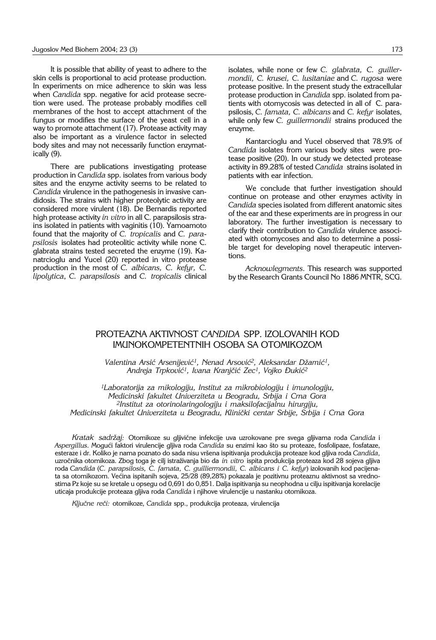It is possible that ability of yeast to adhere to the skin cells is proportional to acid protease production. In experiments on mice adherence to skin was less when *Candida* spp. negative for acid protease secretion were used. The protease probably modifies cell membranes of the host to accept attachment of the fungus or modifies the surface of the yeast cell in a way to promote attachment (17). Protease activity may also be important as a virulence factor in selected body sites and may not necessarily function enzymatically (9).

There are publications investigating protease production in *Candida* spp. isolates from various body sites and the enzyme activity seems to be related to *Candida* virulence in the pathogenesis in invasive candidosis. The strains with higher proteolytic activity are considered more virulent (18). De Bernardis reported high protease activity *in vitro* in all C. parapsilosis strains isolated in patients with vaginitis (10). Yamoamoto found that the majority of *C. tropicalis* and *C. parapsilosis* isolates had proteolitic activity while none C. glabrata strains tested secreted the enzyme (19). Kanatrcioglu and Yucel (20) reported in vitro protease production in the most of *C. albicans, C. kefyr, C. lipolytica*, *C. parapsilosis* and *C. tropicalis* clinical

isolates, while none or few *C. glabrata, C. guillermondii, C. krusei, C. lusitaniae* and *C. rugosa* were protease positive. In the present study the extracellular protease production in *Candida* spp. isolated from patients with otomycosis was detected in all of C. parapsilosis, *C. famata, C. albicans* and *C. kefyr* isolates, while only few *C. guillermondii* strains produced the enzyme.

Kantarcioglu and Yucel observed that 78.9% of *Candida* isolates from various body sites were protease positive (20). In our study we detected protease activity in 89.28% of tested *Candida* strains isolated in patients with ear infection.

We conclude that further investigation should continue on protease and other enzymes activity in *Candida* species isolated from different anatomic sites of the ear and these experiments are in progress in our laboratory. The further investigation is necessary to clarify their contribution to *Candida* virulence associated with otomycoses and also to determine a possible target for developing novel therapeutic interventions.

*Acknowlegments*. This research was supported by the Research Grants Council No 1886 MNTR, SCG.

## PROTEAZNA AKTIVNOST *CANDIDA* SPP. IZOLOVANIH KOD IMUNOKOMPETENTNIH OSOBA SA OTOMIKOZOM

Valentina Arsić Arsenijević<sup>1</sup>, Nenad Arsović<sup>2</sup>, Aleksandar Džamić<sup>1</sup>, Andreja Trpković<sup>1</sup>, Ivana Kranjčić Zec<sup>1</sup>, Vojko Đukić<sup>2</sup>

*1Laboratorija za mikologiju, Institut za mikrobiologiju i imunologiju, Medicinski fakultet Univerziteta u Beogradu, Srbija i Crna Gora 2Institut za otorinolaringologiju i maksilofacijalnu hirurgiju, Medicinski fakultet Univerziteta u Beogradu, Klinički centar Srbije, Srbija i Crna Gora* 

Kratak sadržaj: Otomikoze su gljivične infekcije uva uzrokovane pre svega gljivama roda *Candida* i *Aspergillus*. Mogu}i faktori virulencije gljiva roda *Candida* su enzimi kao {to su proteaze, fosfolipaze, fosfataze, esteraze i dr. Koliko je nama poznato do sada nisu vr{ena ispitivanja produkcija proteaze kod gljiva roda *Candida*, uzročnika otomikoza. Zbog toga je cilj istraživanja bio da *in vitro* ispita produkcija proteaza kod 28 sojeva gljiva roda *Candida* (*C. parapsilosis, C. famata, C. guilliermondii, C. albicans i C. kefyr*) izolovanih kod pacijenata sa otomikozom. Većina ispitanih sojeva, 25/28 (89,28%) pokazala je pozitivnu proteaznu aktivnost sa vrednostima Pz koje su se kretale u opsegu od 0,691 do 0,851. Dalja ispitivanja su neophodna u cilju ispitivanja korelacije uticaja produkcije proteaza gljiva roda *Candida* i njihove virulencije u nastanku otomikoza.

Ključne reči: otomikoze, *Candida* spp., produkcija proteaza, virulencija